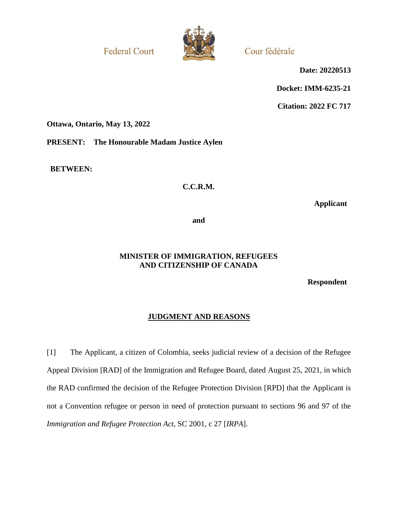**Federal Court** 



Cour fédérale

**Date: 20220513**

**Docket: IMM-6235-21**

**Citation: 2022 FC 717**

**Ottawa, Ontario, May 13, 2022**

**PRESENT: The Honourable Madam Justice Aylen**

**BETWEEN:**

## **C.C.R.M.**

**Applicant**

**and**

### **MINISTER OF IMMIGRATION, REFUGEES AND CITIZENSHIP OF CANADA**

**Respondent**

# **JUDGMENT AND REASONS**

[1] The Applicant, a citizen of Colombia, seeks judicial review of a decision of the Refugee Appeal Division [RAD] of the Immigration and Refugee Board, dated August 25, 2021, in which the RAD confirmed the decision of the Refugee Protection Division [RPD] that the Applicant is not a Convention refugee or person in need of protection pursuant to sections 96 and 97 of the *Immigration and Refugee Protection Act*, SC 2001, c 27 [*IRPA*].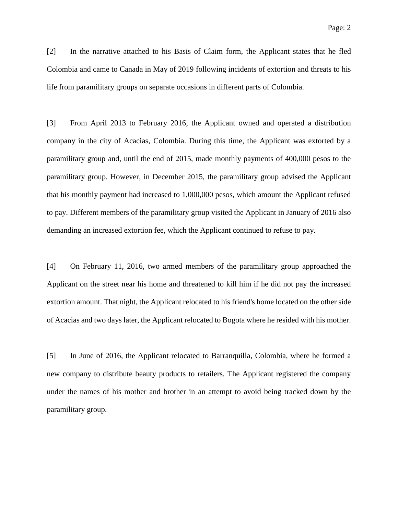[2] In the narrative attached to his Basis of Claim form, the Applicant states that he fled Colombia and came to Canada in May of 2019 following incidents of extortion and threats to his life from paramilitary groups on separate occasions in different parts of Colombia.

[3] From April 2013 to February 2016, the Applicant owned and operated a distribution company in the city of Acacias, Colombia. During this time, the Applicant was extorted by a paramilitary group and, until the end of 2015, made monthly payments of 400,000 pesos to the paramilitary group. However, in December 2015, the paramilitary group advised the Applicant that his monthly payment had increased to 1,000,000 pesos, which amount the Applicant refused to pay. Different members of the paramilitary group visited the Applicant in January of 2016 also demanding an increased extortion fee, which the Applicant continued to refuse to pay.

[4] On February 11, 2016, two armed members of the paramilitary group approached the Applicant on the street near his home and threatened to kill him if he did not pay the increased extortion amount. That night, the Applicant relocated to his friend's home located on the other side of Acacias and two days later, the Applicant relocated to Bogota where he resided with his mother.

[5] In June of 2016, the Applicant relocated to Barranquilla, Colombia, where he formed a new company to distribute beauty products to retailers. The Applicant registered the company under the names of his mother and brother in an attempt to avoid being tracked down by the paramilitary group.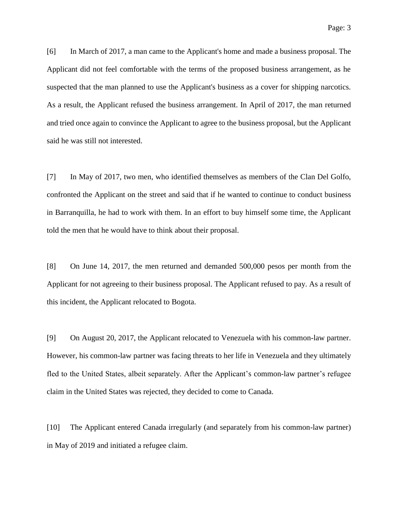[6] In March of 2017, a man came to the Applicant's home and made a business proposal. The Applicant did not feel comfortable with the terms of the proposed business arrangement, as he suspected that the man planned to use the Applicant's business as a cover for shipping narcotics. As a result, the Applicant refused the business arrangement. In April of 2017, the man returned and tried once again to convince the Applicant to agree to the business proposal, but the Applicant said he was still not interested.

[7] In May of 2017, two men, who identified themselves as members of the Clan Del Golfo, confronted the Applicant on the street and said that if he wanted to continue to conduct business in Barranquilla, he had to work with them. In an effort to buy himself some time, the Applicant told the men that he would have to think about their proposal.

[8] On June 14, 2017, the men returned and demanded 500,000 pesos per month from the Applicant for not agreeing to their business proposal. The Applicant refused to pay. As a result of this incident, the Applicant relocated to Bogota.

[9] On August 20, 2017, the Applicant relocated to Venezuela with his common-law partner. However, his common-law partner was facing threats to her life in Venezuela and they ultimately fled to the United States, albeit separately. After the Applicant's common-law partner's refugee claim in the United States was rejected, they decided to come to Canada.

[10] The Applicant entered Canada irregularly (and separately from his common-law partner) in May of 2019 and initiated a refugee claim.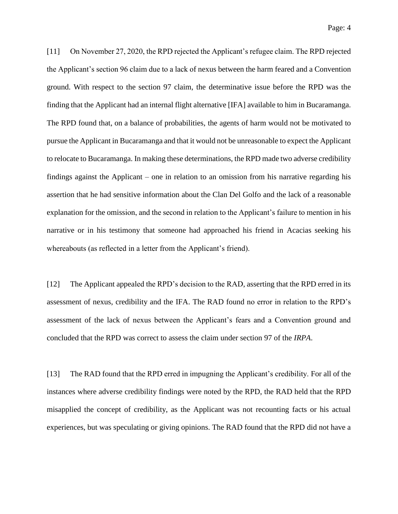[11] On November 27, 2020, the RPD rejected the Applicant's refugee claim. The RPD rejected the Applicant's section 96 claim due to a lack of nexus between the harm feared and a Convention ground. With respect to the section 97 claim, the determinative issue before the RPD was the finding that the Applicant had an internal flight alternative [IFA] available to him in Bucaramanga. The RPD found that, on a balance of probabilities, the agents of harm would not be motivated to pursue the Applicant in Bucaramanga and that it would not be unreasonable to expect the Applicant to relocate to Bucaramanga. In making these determinations, the RPD made two adverse credibility findings against the Applicant – one in relation to an omission from his narrative regarding his assertion that he had sensitive information about the Clan Del Golfo and the lack of a reasonable explanation for the omission, and the second in relation to the Applicant's failure to mention in his narrative or in his testimony that someone had approached his friend in Acacias seeking his whereabouts (as reflected in a letter from the Applicant's friend).

[12] The Applicant appealed the RPD's decision to the RAD, asserting that the RPD erred in its assessment of nexus, credibility and the IFA. The RAD found no error in relation to the RPD's assessment of the lack of nexus between the Applicant's fears and a Convention ground and concluded that the RPD was correct to assess the claim under section 97 of the *IRPA*.

[13] The RAD found that the RPD erred in impugning the Applicant's credibility. For all of the instances where adverse credibility findings were noted by the RPD, the RAD held that the RPD misapplied the concept of credibility, as the Applicant was not recounting facts or his actual experiences, but was speculating or giving opinions. The RAD found that the RPD did not have a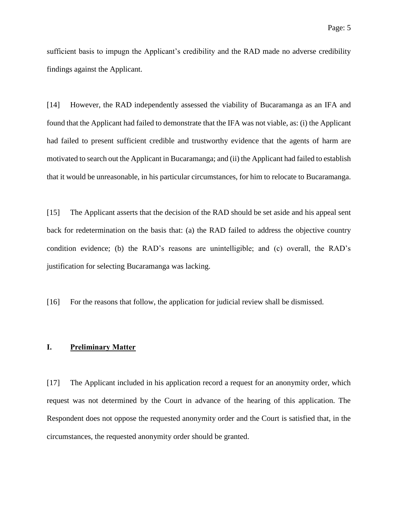sufficient basis to impugn the Applicant's credibility and the RAD made no adverse credibility findings against the Applicant.

[14] However, the RAD independently assessed the viability of Bucaramanga as an IFA and found that the Applicant had failed to demonstrate that the IFA was not viable, as: (i) the Applicant had failed to present sufficient credible and trustworthy evidence that the agents of harm are motivated to search out the Applicant in Bucaramanga; and (ii) the Applicant had failed to establish that it would be unreasonable, in his particular circumstances, for him to relocate to Bucaramanga.

[15] The Applicant asserts that the decision of the RAD should be set aside and his appeal sent back for redetermination on the basis that: (a) the RAD failed to address the objective country condition evidence; (b) the RAD's reasons are unintelligible; and (c) overall, the RAD's justification for selecting Bucaramanga was lacking.

[16] For the reasons that follow, the application for judicial review shall be dismissed.

## **I. Preliminary Matter**

[17] The Applicant included in his application record a request for an anonymity order, which request was not determined by the Court in advance of the hearing of this application. The Respondent does not oppose the requested anonymity order and the Court is satisfied that, in the circumstances, the requested anonymity order should be granted.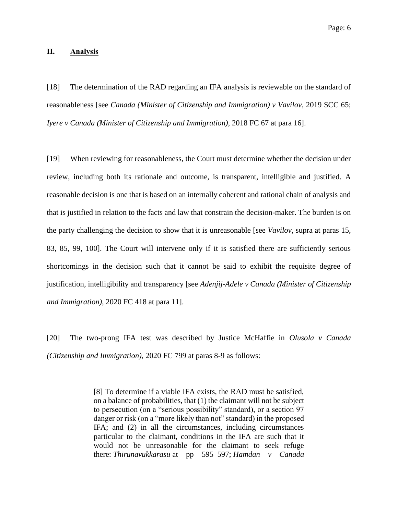#### **II. Analysis**

[18] The determination of the RAD regarding an IFA analysis is reviewable on the standard of reasonableness [see *Canada (Minister of Citizenship and Immigration) v Vavilov*, 2019 SCC 65; *Iyere v Canada (Minister of Citizenship and Immigration)*, 2018 FC 67 at para 16].

[19] When reviewing for reasonableness, the Court must determine whether the decision under review, including both its rationale and outcome, is transparent, intelligible and justified. A reasonable decision is one that is based on an internally coherent and rational chain of analysis and that is justified in relation to the facts and law that constrain the decision-maker. The burden is on the party challenging the decision to show that it is unreasonable [see *Vavilov*, supra at paras 15, 83, 85, 99, 100]. The Court will intervene only if it is satisfied there are sufficiently serious shortcomings in the decision such that it cannot be said to exhibit the requisite degree of justification, intelligibility and transparency [see *Adenjij-Adele v Canada (Minister of Citizenship and Immigration)*, 2020 FC 418 at para 11].

[20] The two-prong IFA test was described by Justice McHaffie in *Olusola v Canada (Citizenship and Immigration)*, 2020 FC 799 at paras 8-9 as follows:

> [8] To determine if a viable IFA exists, the RAD must be satisfied, on a balance of probabilities, that (1) the claimant will not be subject to persecution (on a "serious possibility" standard), or a section 97 danger or risk (on a "more likely than not" standard) in the proposed IFA; and (2) in all the circumstances, including circumstances particular to the claimant, conditions in the IFA are such that it would not be unreasonable for the claimant to seek refuge there: *Thirunavukkarasu* at pp 595–597; *Hamdan v Canada*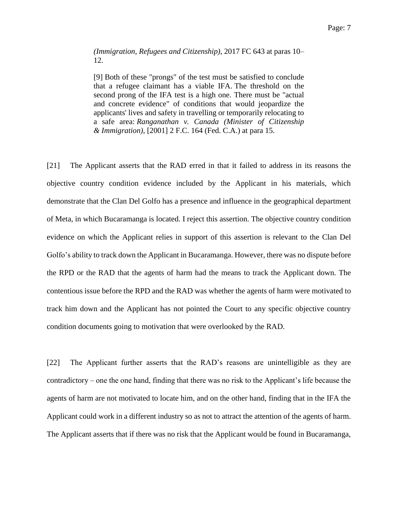#### *(Immigration, Refugees and Citizenship)*, 2017 FC 643 at paras 10– 12.

[9] Both of these "prongs" of the test must be satisfied to conclude that a refugee claimant has a viable IFA. The threshold on the second prong of the IFA test is a high one. There must be "actual and concrete evidence" of conditions that would jeopardize the applicants' lives and safety in travelling or temporarily relocating to a safe area: *Ranganathan v. Canada (Minister of Citizenship & Immigration)*, [2001] 2 F.C. 164 (Fed. C.A.) at para 15.

[21] The Applicant asserts that the RAD erred in that it failed to address in its reasons the objective country condition evidence included by the Applicant in his materials, which demonstrate that the Clan Del Golfo has a presence and influence in the geographical department of Meta, in which Bucaramanga is located. I reject this assertion. The objective country condition evidence on which the Applicant relies in support of this assertion is relevant to the Clan Del Golfo's ability to track down the Applicant in Bucaramanga. However, there was no dispute before the RPD or the RAD that the agents of harm had the means to track the Applicant down. The contentious issue before the RPD and the RAD was whether the agents of harm were motivated to track him down and the Applicant has not pointed the Court to any specific objective country condition documents going to motivation that were overlooked by the RAD.

[22] The Applicant further asserts that the RAD's reasons are unintelligible as they are contradictory – one the one hand, finding that there was no risk to the Applicant's life because the agents of harm are not motivated to locate him, and on the other hand, finding that in the IFA the Applicant could work in a different industry so as not to attract the attention of the agents of harm. The Applicant asserts that if there was no risk that the Applicant would be found in Bucaramanga,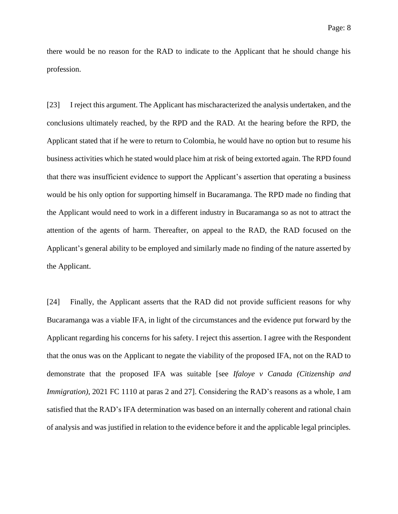there would be no reason for the RAD to indicate to the Applicant that he should change his profession.

[23] I reject this argument. The Applicant has mischaracterized the analysis undertaken, and the conclusions ultimately reached, by the RPD and the RAD. At the hearing before the RPD, the Applicant stated that if he were to return to Colombia, he would have no option but to resume his business activities which he stated would place him at risk of being extorted again. The RPD found that there was insufficient evidence to support the Applicant's assertion that operating a business would be his only option for supporting himself in Bucaramanga. The RPD made no finding that the Applicant would need to work in a different industry in Bucaramanga so as not to attract the attention of the agents of harm. Thereafter, on appeal to the RAD, the RAD focused on the Applicant's general ability to be employed and similarly made no finding of the nature asserted by the Applicant.

[24] Finally, the Applicant asserts that the RAD did not provide sufficient reasons for why Bucaramanga was a viable IFA, in light of the circumstances and the evidence put forward by the Applicant regarding his concerns for his safety. I reject this assertion. I agree with the Respondent that the onus was on the Applicant to negate the viability of the proposed IFA, not on the RAD to demonstrate that the proposed IFA was suitable [see *Ifaloye v Canada (Citizenship and Immigration*), 2021 FC 1110 at paras 2 and 27. Considering the RAD's reasons as a whole, I am satisfied that the RAD's IFA determination was based on an internally coherent and rational chain of analysis and was justified in relation to the evidence before it and the applicable legal principles.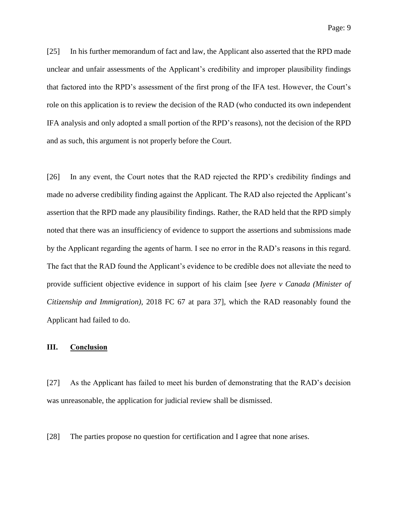[25] In his further memorandum of fact and law, the Applicant also asserted that the RPD made unclear and unfair assessments of the Applicant's credibility and improper plausibility findings that factored into the RPD's assessment of the first prong of the IFA test. However, the Court's role on this application is to review the decision of the RAD (who conducted its own independent IFA analysis and only adopted a small portion of the RPD's reasons), not the decision of the RPD and as such, this argument is not properly before the Court.

[26] In any event, the Court notes that the RAD rejected the RPD's credibility findings and made no adverse credibility finding against the Applicant. The RAD also rejected the Applicant's assertion that the RPD made any plausibility findings. Rather, the RAD held that the RPD simply noted that there was an insufficiency of evidence to support the assertions and submissions made by the Applicant regarding the agents of harm. I see no error in the RAD's reasons in this regard. The fact that the RAD found the Applicant's evidence to be credible does not alleviate the need to provide sufficient objective evidence in support of his claim [see *Iyere v Canada (Minister of Citizenship and Immigration)*, 2018 FC 67 at para 37], which the RAD reasonably found the Applicant had failed to do.

### **III. Conclusion**

[27] As the Applicant has failed to meet his burden of demonstrating that the RAD's decision was unreasonable, the application for judicial review shall be dismissed.

[28] The parties propose no question for certification and I agree that none arises.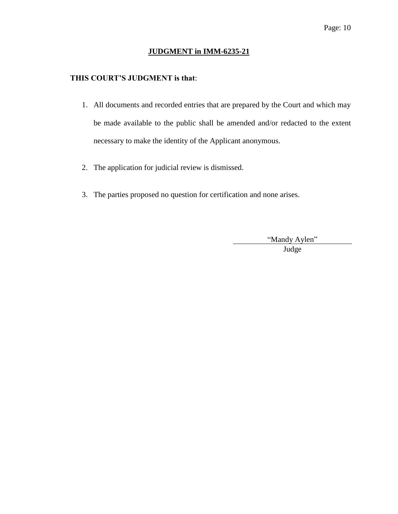## **JUDGMENT in IMM-6235-21**

# **THIS COURT'S JUDGMENT is that**:

- 1. All documents and recorded entries that are prepared by the Court and which may be made available to the public shall be amended and/or redacted to the extent necessary to make the identity of the Applicant anonymous.
- 2. The application for judicial review is dismissed.
- 3. The parties proposed no question for certification and none arises.

"Mandy Aylen"

Judge